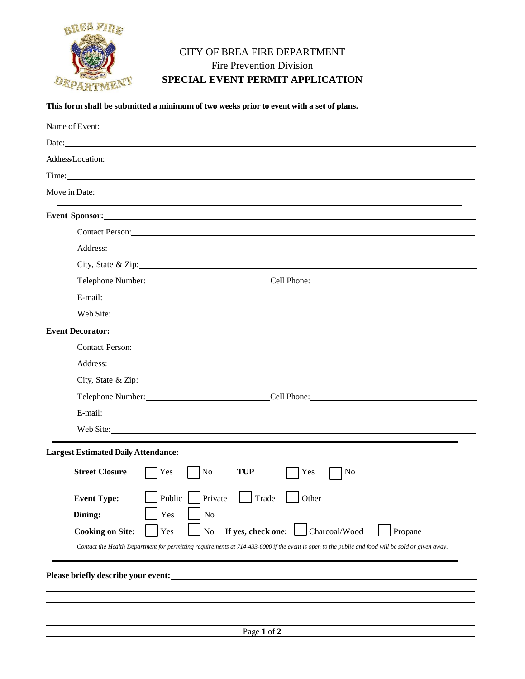

## CITY OF BREA FIRE DEPARTMENT Fire Prevention Division **SPECIAL EVENT PERMIT APPLICATION**

## **This form shall be submitted a minimum of two weeks prior to event with a set of plans.**

| Name of Event:                                                                                                                                                                                                                       |  |  |  |  |
|--------------------------------------------------------------------------------------------------------------------------------------------------------------------------------------------------------------------------------------|--|--|--|--|
| Date:                                                                                                                                                                                                                                |  |  |  |  |
| Address/Location: National Contract of the Contract of the Contract of the Contract of the Contract of the Contract of the Contract of the Contract of the Contract of the Contract of the Contract of the Contract of the Con       |  |  |  |  |
| Time:                                                                                                                                                                                                                                |  |  |  |  |
| Move in Date:                                                                                                                                                                                                                        |  |  |  |  |
| ,我们也不能在这里的时候,我们也不能在这里的时候,我们也不能不能不能不能不能不能不能不能不能不能不能不能不能不能不能。<br>第2012章 我们的时候,我们的时候,我们的时候,我们的时候,我们的时候,我们的时候,我们的时候,我们的时候,我们的时候,我们的时候,我们的时候,我们的时候,我<br><b>Event Sponsor:</b> New York Sponsor:                                           |  |  |  |  |
| Contact Person: New York Contact Person:                                                                                                                                                                                             |  |  |  |  |
| Address: <u>The Community of the Community of the Community of the Community of the Community of the Community of the Community of the Community of the Community of the Community of the Community of the Community of the Comm</u> |  |  |  |  |
| City, State & Zip: 2008. Experience of the State of Zip:                                                                                                                                                                             |  |  |  |  |
|                                                                                                                                                                                                                                      |  |  |  |  |
|                                                                                                                                                                                                                                      |  |  |  |  |
| Web Site:                                                                                                                                                                                                                            |  |  |  |  |
|                                                                                                                                                                                                                                      |  |  |  |  |
| Contact Person: 2008 and 2008 and 2008 and 2008 and 2008 and 2008 and 2008 and 2008 and 2008 and 2008 and 2008 and 2008 and 2008 and 2008 and 2008 and 2008 and 2008 and 2008 and 2008 and 2008 and 2008 and 2008 and 2008 and       |  |  |  |  |
| Address: <u>The Community of the Community of the Community of the Community of the Community of the Community of the Community of the Community of the Community of the Community of the Community of the Community of the Comm</u> |  |  |  |  |
| City, State & Zip:                                                                                                                                                                                                                   |  |  |  |  |
| Telephone Number: Cell Phone: Cell Phone:                                                                                                                                                                                            |  |  |  |  |
| E-mail: <u>E-mail:</u>                                                                                                                                                                                                               |  |  |  |  |
| Web Site:                                                                                                                                                                                                                            |  |  |  |  |
| <b>Largest Estimated Daily Attendance:</b>                                                                                                                                                                                           |  |  |  |  |
| <b>Street Closure</b><br>Yes<br>No<br><b>TUP</b><br>Yes<br>$\log$                                                                                                                                                                    |  |  |  |  |
| Private<br>Public  <br>Trade<br><b>Event Type:</b><br>Other                                                                                                                                                                          |  |  |  |  |
| Dining:<br>Yes<br>N <sub>o</sub>                                                                                                                                                                                                     |  |  |  |  |
| Charcoal/Wood<br>If yes, check one:<br>Yes<br>No<br><b>Cooking on Site:</b><br>Propane                                                                                                                                               |  |  |  |  |
| Contact the Health Department for permitting requirements at 714-433-6000 if the event is open to the public and food will be sold or given away.                                                                                    |  |  |  |  |
|                                                                                                                                                                                                                                      |  |  |  |  |
| Please briefly describe your event:                                                                                                                                                                                                  |  |  |  |  |
|                                                                                                                                                                                                                                      |  |  |  |  |
|                                                                                                                                                                                                                                      |  |  |  |  |
| Page 1 of 2                                                                                                                                                                                                                          |  |  |  |  |
|                                                                                                                                                                                                                                      |  |  |  |  |